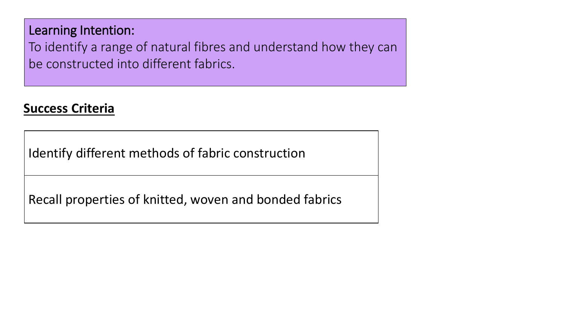Learning Intention:

To identify a range of natural fibres and understand how they can be constructed into different fabrics.

# **Success Criteria**

Identify different methods of fabric construction

Recall properties of knitted, woven and bonded fabrics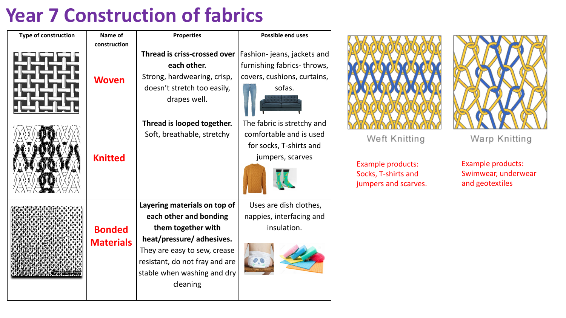# **Year 7 Construction of fabrics**

| <b>Type of construction</b> | Name of<br>construction           | <b>Properties</b>                                                                                                                                                                                                     | <b>Possible end uses</b>                                                                             |
|-----------------------------|-----------------------------------|-----------------------------------------------------------------------------------------------------------------------------------------------------------------------------------------------------------------------|------------------------------------------------------------------------------------------------------|
|                             | <b>Woven</b>                      | Thread is criss-crossed over<br>each other.<br>Strong, hardwearing, crisp,<br>doesn't stretch too easily,                                                                                                             | Fashion-jeans, jackets and<br>furnishing fabrics-throws,<br>covers, cushions, curtains,<br>sofas.    |
|                             |                                   | drapes well.                                                                                                                                                                                                          |                                                                                                      |
|                             | <b>Knitted</b>                    | Thread is looped together.<br>Soft, breathable, stretchy                                                                                                                                                              | The fabric is stretchy and<br>comfortable and is used<br>for socks, T-shirts and<br>jumpers, scarves |
|                             | <b>Bonded</b><br><b>Materials</b> | Layering materials on top of<br>each other and bonding<br>them together with<br>heat/pressure/adhesives.<br>They are easy to sew, crease<br>resistant, do not fray and are<br>stable when washing and dry<br>cleaning | Uses are dish clothes,<br>nappies, interfacing and<br>insulation.                                    |



Weft Knitting

Warp Knitting

Example products: Socks, T-shirts and jumpers and scarves.

Example products: Swimwear, underwear and geotextiles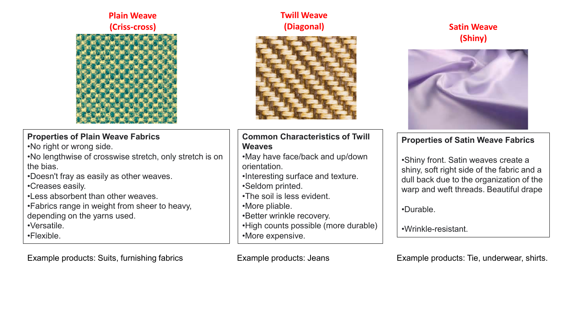#### **Plain Weave (Criss-cross)**



#### **Properties of Plain Weave Fabrics**

•No right or wrong side.

- •No lengthwise of crosswise stretch, only stretch is on the bias.
- •Doesn't fray as easily as other weaves.
- •Creases easily.
- •Less absorbent than other weaves.
- •Fabrics range in weight from sheer to heavy, depending on the yarns used.
- •Versatile.
- •Flexible.

Example products: Suits, furnishing fabrics Example products: Jeans Example products: Tie, underwear, shirts.

### **Twill Weave (Diagonal)**



#### **Common Characteristics of Twill Weaves**

- •May have face/back and up/down orientation.
- •Interesting surface and texture. •Seldom printed.
- •The soil is less evident.
- •More pliable.
- •Better wrinkle recovery.
- •High counts possible (more durable)
- •More expensive.

## **Satin Weave (Shiny)**



#### **Properties of Satin Weave Fabrics**

•Shiny front. Satin weaves create a shiny, soft right side of the fabric and a dull back due to the organization of the warp and weft threads. Beautiful drape

•Durable.

•Wrinkle-resistant.